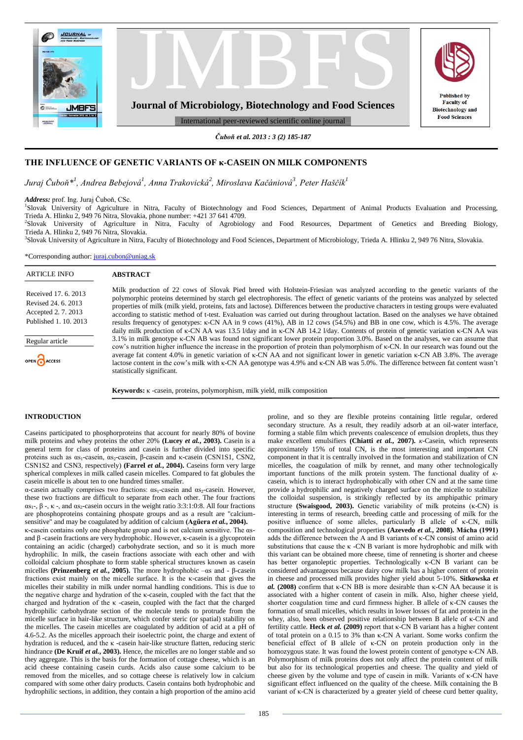

*Čuboň et al. 2013 : 3 (2) 185-187*

# **THE INFLUENCE OF GENETIC VARIANTS OF κ-CASEIN ON MILK COMPONENTS**

 $J$ uraj Čuboň $^{*l}$ , Andrea Bebejová $^{l}$ , Anna Trakovická $^{2}$ , Miroslava Kačániová $^{3}$ , Peter Haščík $^{l}$ 

*Address:* prof. Ing. Juraj Čuboň, CSc.

1 Slovak University of Agriculture in Nitra, Faculty of Biotechnology and Food Sciences, Department of Animal Products Evaluation and Processing, Trieda A. Hlinku 2, 949 76 Nitra, Slovakia, phone number: +421 37 641 4709.

2 Slovak University of Agriculture in Nitra, Faculty of Agrobiology and Food Resources, Department of Genetics and Breeding Biology, Trieda A. Hlinku 2, 949 76 Nitra, Slovakia.

3 Slovak University of Agriculture in Nitra, Faculty of Biotechnology and Food Sciences, Department of Microbiology, Trieda A. Hlinku 2, 949 76 Nitra, Slovakia.

\*Corresponding author[: juraj.cubon@uniag.sk](mailto:juraj.cubon@uniag.sk)

| <b>ARTICLE INFO</b>                                                                       | <b>ABSTRACT</b>                                                                                                                                                                                                                                                                                                                                                                                                                                                                                                                                                                                                                                                                                                                                                                                                                     |
|-------------------------------------------------------------------------------------------|-------------------------------------------------------------------------------------------------------------------------------------------------------------------------------------------------------------------------------------------------------------------------------------------------------------------------------------------------------------------------------------------------------------------------------------------------------------------------------------------------------------------------------------------------------------------------------------------------------------------------------------------------------------------------------------------------------------------------------------------------------------------------------------------------------------------------------------|
| Received 17, 6, 2013<br>Revised 24. 6. 2013<br>Accepted 2.7.2013<br>Published 1, 10, 2013 | Milk production of 22 cows of Slovak Pied breed with Holstein-Friesian was analyzed according to the genetic variants of the<br>polymorphic proteins determined by starch gel electrophoresis. The effect of genetic variants of the proteins was analyzed by selected<br>properties of milk (milk yield, proteins, fats and lactose). Differences between the productive characters in testing groups were evaluated<br>according to statistic method of t-test. Evaluation was carried out during throughout lactation. Based on the analyses we have obtained<br>results frequency of genotypes: k-CN AA in 9 cows (41%), AB in 12 cows (54.5%) and BB in one cow, which is 4.5%. The average<br>daily milk production of K-CN AA was 13.5 l/day and in K-CN AB 14.2 l/day. Contents of protein of genetic variation K-CN AA was |
| Regular article<br>OPEN CACCESS                                                           | 3.1% in milk genotype k-CN AB was found not significant lower protein proportion 3.0%. Based on the analyses, we can assume that<br>cow's nutrition higher influence the increase in the proportion of protein than polymorphism of k-CN. In our research was found out the<br>average fat content 4.0% in genetic variation of k-CN AA and not significant lower in genetic variation k-CN AB 3.8%. The average<br>lactose content in the cow's milk with k-CN AA genotype was 4.9% and k-CN AB was 5.0%. The difference between fat content wasn't<br>statistically significant.                                                                                                                                                                                                                                                  |

**Keywords:** κ -casein, proteins, polymorphism, milk yield, milk composition

#### **INTRODUCTION**

Caseins participated to phosphorproteins that account for nearly 80% of bovine milk proteins and whey proteins the other 20% **(Lucey** *et al.***, 2003).** Casein is a general term for class of proteins and casein is further divided into specific proteins such as  $\alpha$ <sub>S1</sub>-casein,  $\alpha$ <sub>S2</sub>-casein, β-casein and κ-casein (CSN1S1, CSN2, CSN1S2 and CSN3, respectively) **(Farrel** *et al.***, 2004).** Caseins form very large spherical complexes in milk called casein micelles. Compared to fat globules the casein micelle is about ten to one hundred times smaller.

α-casein actually comprises two fractions: αs<sub>1</sub>-casein and αs<sub>2</sub>-casein. However, these two fractions are difficult to separate from each other. The four fractions  $\alpha$ s<sub>1</sub>-, β -, κ -, and  $\alpha$ s<sub>2</sub>-casein occurs in the weight ratio 3:3:1:0:8. All four fractions are phosphoproteins containing phospate groups and as a result are "calciumsensitive" and may be coagulated by addition of calcium **(Agüera** *et al.***, 2004).** κ-casein contains only one phosphate group and is not calcium sensitive. The αsand β -casein fractions are very hydrophobic. However, κ-casein is a glycoprotein containing an acidic (charged) carbohydrate section, and so it is much more hydrophilic. In milk, the casein fractions associate with each other and with colloidal calcium phosphate to form stable spherical structures known as casein micelles **(Prinzenberg** *et al.***, 2005).** The more hydrophobic –αs and - β-casein fractions exist mainly on the micelle surface. It is the κ-casein that gives the micelles their stability in milk under normal handling conditions. This is due to the negative charge and hydration of the κ-casein, coupled with the fact that the charged and hydration of the κ -casein, coupled with the fact that the charged hydrophilic carbohydrate section of the molecule tends to protrude from the micelle surface in hair-like structure, which confer steric (or spatial) stability on the micelles. The casein micelles are coagulated by addition of acid at a pH of 4.6-5.2. As the micelles approach their isoelectric point, the charge and extent of hydration is reduced, and the κ -casein hair-like structure flatten, reducing steric hindrance **(De Kruif** *et al.***, 2003).** Hence, the micelles are no longer stable and so they aggregate. This is the basis for the formation of cottage cheese, which is an acid cheese containing casein curds. Acids also cause some calcium to be removed from the micelles, and so cottage cheese is relatively low in calcium compared with some other dairy products. Casein contains both hydrophobic and hydrophilic sections, in addition, they contain a high proportion of the amino acid

proline, and so they are flexible proteins containing little regular, ordered secondary structure. As a result, they readily adsorb at an oil-water interface, forming a stable film which prevents coalescence of emulsion droplets, thus they make excellent emulsifiers **(Chiatti** *et al.***, 2007).** *κ*-Casein, which represents approximately 15% of total CN, is the most interesting and important CN component in that it is centrally involved in the formation and stabilization of CN micelles, the coagulation of milk by rennet, and many other technologically important functions of the milk protein system. The functional duality of *κ*casein, which is to interact hydrophobically with other CN and at the same time provide a hydrophilic and negatively charged surface on the micelle to stabilize the colloidal suspension, is strikingly reflected by its amphipathic primary structure **(Swaisgood, 2003).** Genetic variability of milk proteins (κ-CN) is interesting in terms of research, breeding cattle and processing of milk for the positive influence of some alleles, particularly B allele of κ-CN, milk composition and technological properties **(Azevedo** *et al.***, 2008). Mácha (1991)** adds the difference between the A and B variants of κ-CN consist of amino acid substitutions that cause the  $\kappa$  -CN B variant is more hydrophobic and milk with this variant can be obtained more cheese, time of renneting is shorter and cheese has better organoleptic properties. Technologically κ-CN B variant can be considered advantageous because dairy cow milk has a higher content of protein in cheese and processed milk provides higher yield about 5-10%. **Sitkowska** *et al.* **(2008)** confirm that κ-CN BB is more desirable than κ-CN AA because it is associated with a higher content of casein in milk. Also, higher cheese yield, shorter coagulation time and curd firmness higher. B allele of κ-CN causes the formation of small micelles, which results in lower losses of fat and protein in the whey, also, been observed positive relationship between B allele of κ-CN and fertility cattle. **Heck** *et al.* **(2009)** report that κ-CN B variant has a higher content of total protein on a 0.15 to 3% than κ-CN A variant. Some works confirm the beneficial effect of B allele of κ-CN on protein production only in the homozygous state. It was found the lowest protein content of genotype κ-CN AB. Polymorphism of milk proteins does not only affect the protein content of milk but also for its technological properties and cheese. The quality and yield of cheese given by the volume and type of casein in milk. Variants of κ-CN have significant effect influenced on the quality of the cheese. Milk containing the B variant of κ-CN is characterized by a greater yield of cheese curd better quality,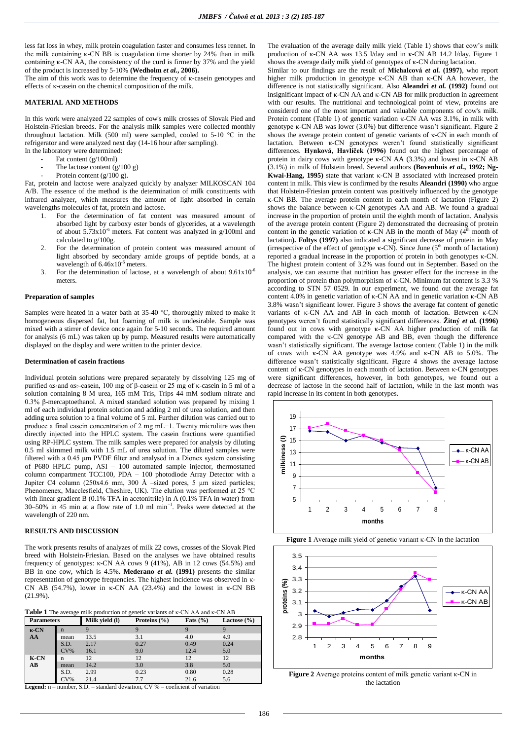less fat loss in whey, milk protein coagulation faster and consumes less rennet. In the milk containing κ-CN BB is coagulation time shorter by 24% than in milk containing κ-CN AA, the consistency of the curd is firmer by 37% and the yield of the product is increased by 5-10% **(Wedholm** *et al.***, 2006).**

The aim of this work was to determine the frequency of κ-casein genotypes and effects of κ-casein on the chemical composition of the milk.

### **MATERIAL AND METHODS**

In this work were analyzed 22 samples of cow's milk crosses of Slovak Pied and Holstein-Friesian breeds. For the analysis milk samples were collected monthly throughout lactation. Milk (500 ml) were sampled, cooled to 5-10  $^{\circ}$ C in the refrigerator and were analyzed next day (14-16 hour after sampling).

- In the laboratory were determined:
	- Fat content (g/100ml) The lactose content  $(g/100 g)$
	- Protein content (g/100 g).

Fat, protein and lactose were analyzed quickly by analyzer MILKOSCAN 104 A/B. The essence of the method is the determination of milk constituents with infrared analyzer, which measures the amount of light absorbed in certain wavelengths molecules of fat, protein and lactose.

- 1. For the determination of fat content was measured amount of absorbed light by carboxy ester bonds of glycerides, at a wavelength of about  $5.73x10^{-6}$  meters. Fat content was analyzed in g/100ml and calculated to g/100g.
- 2. For the determination of protein content was measured amount of light absorbed by secondary amide groups of peptide bonds, at a wavelength of  $6.46x10^{-6}$  meters.
- 3. For the determination of lactose, at a wavelength of about  $9.61x10^{-6}$ meters.

### **Preparation of samples**

Samples were heated in a water bath at 35-40 °C, thoroughly mixed to make it homogeneous dispersed fat, but foaming of milk is undesirable. Sample was mixed with a stirrer of device once again for 5-10 seconds. The required amount for analysis (6 mL) was taken up by pump. Measured results were automatically displayed on the display and were written to the printer device.

#### **Determination of casein fractions**

Individual protein solutions were prepared separately by dissolving 125 mg of purified  $\alpha s_1$ and  $\alpha s_2$ -casein, 100 mg of β-casein or 25 mg of κ-casein in 5 ml of a solution containing 8 M urea, 165 mM Tris, Trips 44 mM sodium nitrate and 0.3% β-mercaptoethanol. A mixed standard solution was prepared by mixing 1 ml of each individual protein solution and adding 2 ml of urea solution, and then adding urea solution to a final volume of 5 ml. Further dilution was carried out to produce a final casein concentration of 2 mg mL−1. Twenty microlitre was then directly injected into the HPLC system. The casein fractions were quantified using RP-HPLC system. The milk samples were prepared for analysis by diluting 0.5 ml skimmed milk with 1.5 mL of urea solution. The diluted samples were filtered with a 0.45 μm PVDF filter and analysed in a Dionex system consisting of P680 HPLC pump, ASI – 100 automated sample injector, thermostatted column compartment TCC100, PDA – 100 photodiode Array Detector with a Jupiter C4 column (250x4.6 mm, 300 Å –sized pores, 5 μm sized particles; Phenomenex, Macclesfield, Cheshire, UK). The elution was performed at 25 °C with linear gradient B (0.1% TFA in acetonitrile) in A (0.1% TFA in water) from 30–50% in 45 min at a flow rate of 1.0 ml min−1. Peaks were detected at the wavelength of 220 nm.

## **RESULTS AND DISCUSSION**

The work presents results of analyzes of milk 22 cows, crosses of the Slovak Pied breed with Holstein-Friesian. Based on the analyses we have obtained results frequency of genotypes: κ-CN AA cows 9 (41%), AB in 12 cows (54.5%) and BB in one cow, which is 4.5%**. Mederano** *et al.* **(1991)** presents the similar representation of genotype frequencies. The highest incidence was observed in κ-CN AB (54.7%), lower in κ-CN AA (23.4%) and the lowest in κ-CN BB (21.9%).

|  | Table 1 The average milk production of genetic variants of K-CN AA and K-CN AB |  |  |
|--|--------------------------------------------------------------------------------|--|--|
|  |                                                                                |  |  |

| <b>Parameters</b> |             | Milk vield (l) | Proteins (%) | Fats $(\% )$ | Lactose $(\% )$ |
|-------------------|-------------|----------------|--------------|--------------|-----------------|
| $\kappa$ -CN      | $\mathbf n$ |                |              |              |                 |
| AA                | mean        | 13.5           | 3.1          | 4.0          | 4.9             |
|                   | S.D.        | 2.17           | 0.27         | 0.49         | 0.24            |
|                   | $CV\%$      | 16.1           | 9.0          | 12.4         | 5.0             |
| K-CN              | n           | 12             | 12           | 12           | 12              |
| AB                | mean        | 14.2           | 3.0          | 3.8          | 5.0             |
|                   | S.D.        | 2.99           | 0.23         | 0.80         | 0.28            |
|                   | $CV\%$      | 21.4           | 7.7          | 21.6         | 5.6             |

Legend: n – number, S.D. – standard deviation, CV % – coeficient of variation

The evaluation of the average daily milk yield (Table 1) shows that cow's milk production of κ-CN AA was 13.5 l/day and in κ-CN AB 14.2 l/day. Figure 1 shows the average daily milk yield of genotypes of κ-CN during lactation.

Similar to our findings are the result of **Michalcová** *et al.* **(1997)**, who report higher milk production in genotype κ-CN AB than κ-CN AA however, the difference is not statistically significant. Also **Aleandri** *et al.* **(1992)** found out insignificant impact of κ-CN AA and κ-CN AB for milk production in agreement with our results. The nutritional and technological point of view, proteins are considered one of the most important and valuable components of cow's milk. Protein content (Table 1) of genetic variation κ-CN AA was 3.1%, in milk with genotype κ-CN AB was lower (3.0%) but difference wasn't significant. Figure 2 shows the average protein content of genetic variants of κ-CN in each month of lactation. Between κ-CN genotypes weren't found statistically significant differences. **Hynková, Havlíček (1996)** found out the highest percentage of protein in dairy cows with genotype κ-CN AA (3.3%) and lowest in κ-CN AB (3.1%) in milk of Holstein breed. Several authors **(Bovenhuis** *et al.***, 1992; Ng-Kwai-Hang, 1995)** state that variant κ-CN B associated with increased protein content in milk. This view is confirmed by the results **Aleandri (1990)** who argue that Holstein-Friesian protein content was positively influenced by the genotype κ-CN BB. The average protein content in each month of lactation (Figure 2) shows the balance between κ-CN genotypes AA and AB. We found a gradual increase in the proportion of protein until the eighth month of lactation. Analysis of the average protein content (Figure 2) demonstrated the decreasing of protein content in the genetic variation of  $\kappa$ -CN AB in the month of May ( $4<sup>th</sup>$  month of lactation**). Foltys (1997)** also indicated a significant decrease of protein in May (irrespective of the effect of genotype  $\kappa$ -CN). Since June ( $5<sup>th</sup>$  month of lactation) reported a gradual increase in the proportion of protein in both genotypes κ-CN. The highest protein content of 3.2% was found out in September. Based on the analysis, we can assume that nutrition has greater effect for the increase in the proportion of protein than polymorphism of κ-CN. Minimum fat content is 3.3 % according to STN 57 0529. In our experiment, we found out the average fat content 4.0% in genetic variation of κ-CN AA and in genetic variation κ-CN AB 3.8% wasn't significant lower. Figure 3 shows the average fat content of genetic variants of κ-CN AA and AB in each month of lactation. Between κ-CN genotypes weren't found statistically significant differences. **Žitný** *et al.* **(1996)** found out in cows with genotype κ-CN AA higher production of milk fat compared with the κ-CN genotype AB and BB, even though the difference wasn't statistically significant. The average lactose content (Table 1) in the milk of cows with κ-CN AA genotype was 4.9% and κ-CN AB to 5.0%. The difference wasn't statistically significant. Figure 4 shows the average lactose content of κ-CN genotypes in each month of lactation. Between κ-CN genotypes were significant differences, however, in both genotypes, we found out a decrease of lactose in the second half of lactation, while in the last month was rapid increase in its content in both genotypes.







**Figure 2** Average proteins content of milk genetic variant κ-CN in the lactation